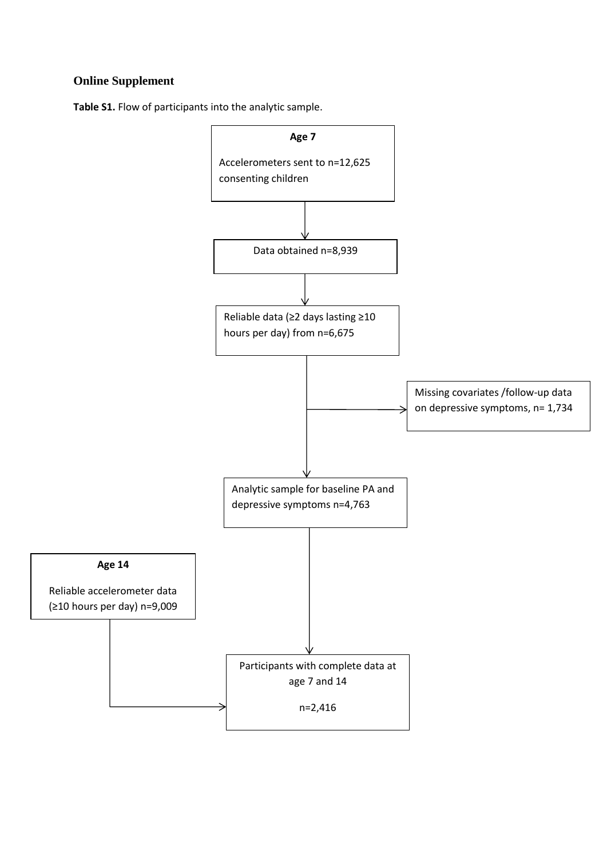## **Online Supplement**

**Table S1.** Flow of participants into the analytic sample.

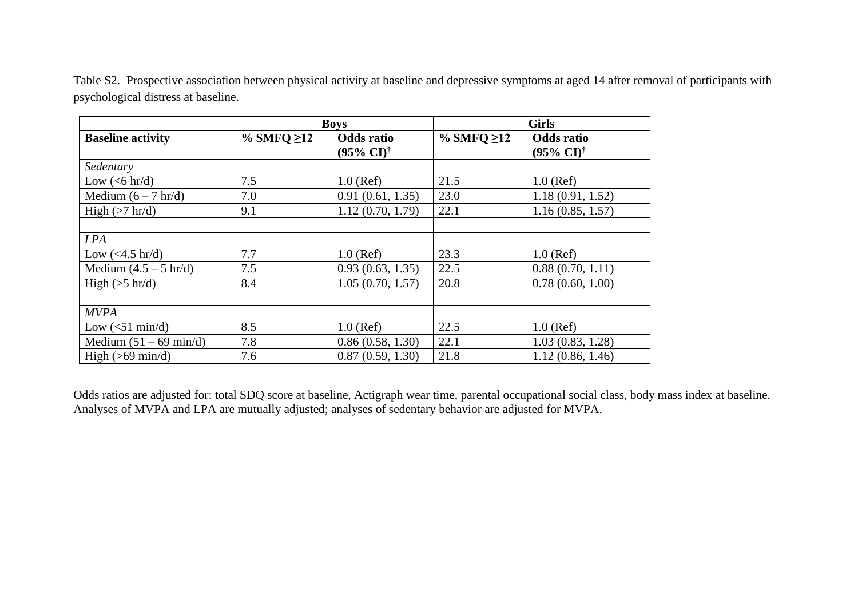| Table S2. Prospective association between physical activity at baseline and depressive symptoms at aged 14 after removal of participants with |  |  |  |
|-----------------------------------------------------------------------------------------------------------------------------------------------|--|--|--|
| psychological distress at baseline.                                                                                                           |  |  |  |

|                            |                  | <b>Boys</b>                                        | <b>Girls</b>     |                                                    |  |  |
|----------------------------|------------------|----------------------------------------------------|------------------|----------------------------------------------------|--|--|
| <b>Baseline activity</b>   | % SMFQ $\geq$ 12 | <b>Odds</b> ratio<br>$(95\% \text{ CI})^{\dagger}$ | % SMFQ $\geq$ 12 | <b>Odds</b> ratio<br>$(95\% \text{ CI})^{\dagger}$ |  |  |
| Sedentary                  |                  |                                                    |                  |                                                    |  |  |
| Low $(<6 \text{ hr/d})$    | 7.5              | $1.0$ (Ref)                                        | 21.5             | $1.0$ (Ref)                                        |  |  |
| Medium $(6 - 7 hr/d)$      | 7.0              | 0.91(0.61, 1.35)                                   | 23.0             | 1.18(0.91, 1.52)                                   |  |  |
| High $(>7$ hr/d)           | 9.1              | 1.12(0.70, 1.79)                                   | 22.1             | 1.16(0.85, 1.57)                                   |  |  |
|                            |                  |                                                    |                  |                                                    |  |  |
| <b>LPA</b>                 |                  |                                                    |                  |                                                    |  |  |
| Low $(<4.5$ hr/d)          | 7.7              | $1.0$ (Ref)                                        | 23.3             | $1.0$ (Ref)                                        |  |  |
| Medium $(4.5 - 5 hr/d)$    | 7.5              | 0.93(0.63, 1.35)                                   | 22.5             | 0.88(0.70, 1.11)                                   |  |  |
| High $(5 \text{ hr/d})$    | 8.4              | 1.05(0.70, 1.57)                                   | 20.8             | 0.78(0.60, 1.00)                                   |  |  |
|                            |                  |                                                    |                  |                                                    |  |  |
| <b>MVPA</b>                |                  |                                                    |                  |                                                    |  |  |
| Low $(<51 \text{ min/d})$  | 8.5              | $1.0$ (Ref)                                        | 22.5             | $1.0$ (Ref)                                        |  |  |
| Medium $(51 – 69 min/d)$   | 7.8              | 0.86(0.58, 1.30)                                   | 22.1             | 1.03(0.83, 1.28)                                   |  |  |
| High $(>69 \text{ min/d})$ | 7.6              | 0.87(0.59, 1.30)                                   | 21.8             | 1.12(0.86, 1.46)                                   |  |  |

Odds ratios are adjusted for: total SDQ score at baseline, Actigraph wear time, parental occupational social class, body mass index at baseline. Analyses of MVPA and LPA are mutually adjusted; analyses of sedentary behavior are adjusted for MVPA.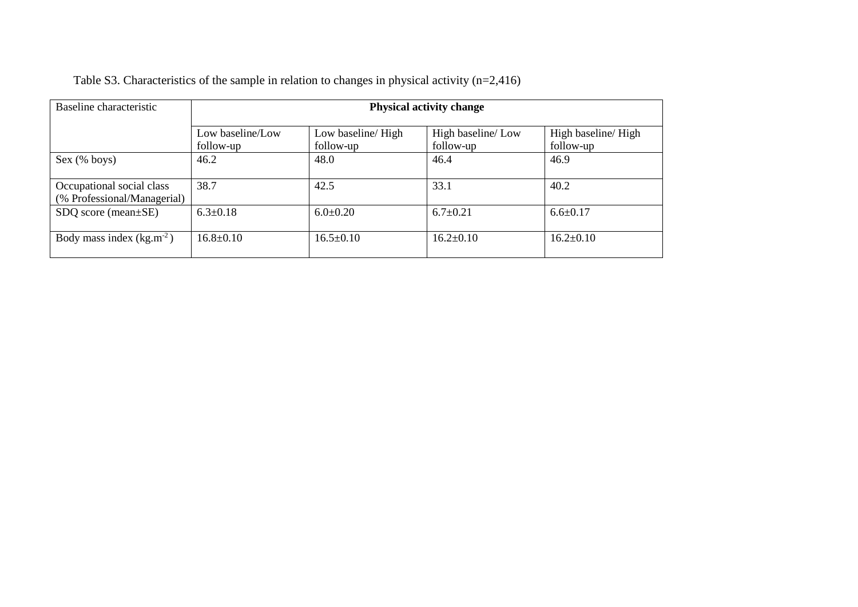| Table S3. Characteristics of the sample in relation to changes in physical activity $(n=2,416)$ |  |
|-------------------------------------------------------------------------------------------------|--|
|                                                                                                 |  |

| Baseline characteristic                                  | <b>Physical activity change</b> |                                |                                |                                  |  |  |
|----------------------------------------------------------|---------------------------------|--------------------------------|--------------------------------|----------------------------------|--|--|
|                                                          | Low baseline/Low<br>follow-up   | Low baseline/High<br>follow-up | High baseline/Low<br>follow-up | High baseline/ High<br>follow-up |  |  |
| Sex (% boys)                                             | 46.2                            | 48.0                           | 46.4                           | 46.9                             |  |  |
| Occupational social class<br>(% Professional/Managerial) | 38.7                            | 42.5                           | 33.1                           | 40.2                             |  |  |
| $SDQ$ score (mean $\pm$ SE)                              | $6.3 \pm 0.18$                  | $6.0 \pm 0.20$                 | $6.7 \pm 0.21$                 | $6.6 \pm 0.17$                   |  |  |
| Body mass index $(kg.m^{-2})$                            | $16.8 \pm 0.10$                 | $16.5 \pm 0.10$                | $16.2 \pm 0.10$                | $16.2 \pm 0.10$                  |  |  |